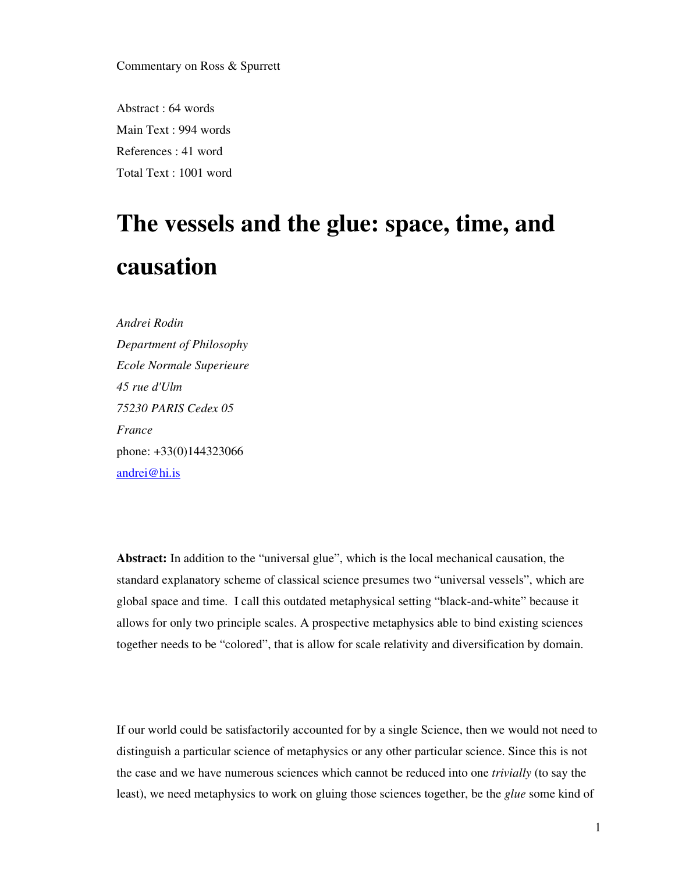Commentary on Ross & Spurrett

Abstract : 64 words Main Text : 994 words References : 41 word Total Text : 1001 word

## **The vessels and the glue: space, time, and causation**

*Andrei Rodin Department of Philosophy Ecole Normale Superieure 45 rue d'Ulm 75230 PARIS Cedex 05 France*  phone: +33(0)144323066 andrei@hi.is

**Abstract:** In addition to the "universal glue", which is the local mechanical causation, the standard explanatory scheme of classical science presumes two "universal vessels", which are global space and time. I call this outdated metaphysical setting "black-and-white" because it allows for only two principle scales. A prospective metaphysics able to bind existing sciences together needs to be "colored", that is allow for scale relativity and diversification by domain.

If our world could be satisfactorily accounted for by a single Science, then we would not need to distinguish a particular science of metaphysics or any other particular science. Since this is not the case and we have numerous sciences which cannot be reduced into one *trivially* (to say the least), we need metaphysics to work on gluing those sciences together, be the *glue* some kind of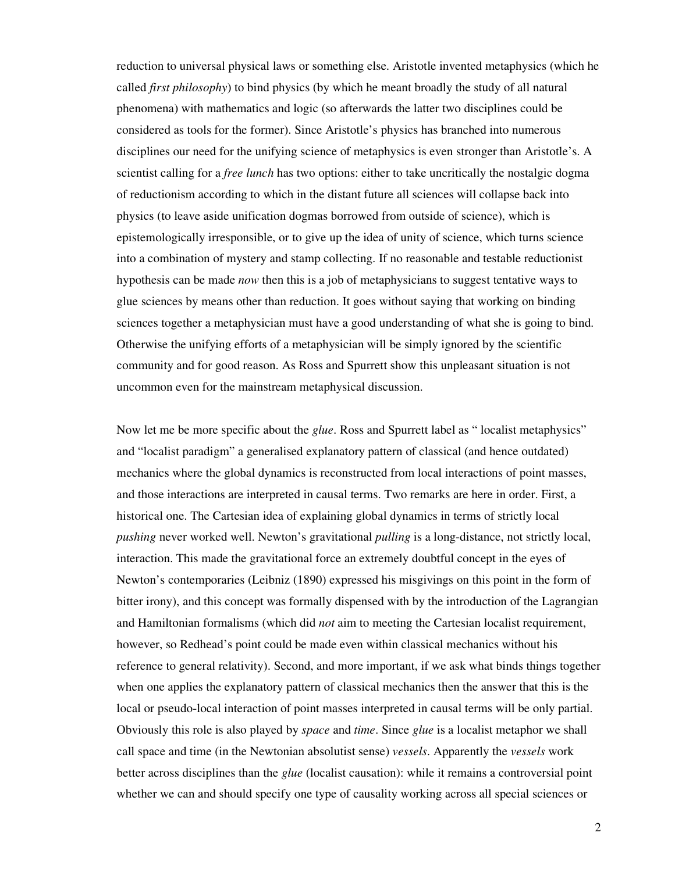reduction to universal physical laws or something else. Aristotle invented metaphysics (which he called *first philosophy*) to bind physics (by which he meant broadly the study of all natural phenomena) with mathematics and logic (so afterwards the latter two disciplines could be considered as tools for the former). Since Aristotle's physics has branched into numerous disciplines our need for the unifying science of metaphysics is even stronger than Aristotle's. A scientist calling for a *free lunch* has two options: either to take uncritically the nostalgic dogma of reductionism according to which in the distant future all sciences will collapse back into physics (to leave aside unification dogmas borrowed from outside of science), which is epistemologically irresponsible, or to give up the idea of unity of science, which turns science into a combination of mystery and stamp collecting. If no reasonable and testable reductionist hypothesis can be made *now* then this is a job of metaphysicians to suggest tentative ways to glue sciences by means other than reduction. It goes without saying that working on binding sciences together a metaphysician must have a good understanding of what she is going to bind. Otherwise the unifying efforts of a metaphysician will be simply ignored by the scientific community and for good reason. As Ross and Spurrett show this unpleasant situation is not uncommon even for the mainstream metaphysical discussion.

Now let me be more specific about the *glue*. Ross and Spurrett label as " localist metaphysics" and "localist paradigm" a generalised explanatory pattern of classical (and hence outdated) mechanics where the global dynamics is reconstructed from local interactions of point masses, and those interactions are interpreted in causal terms. Two remarks are here in order. First, a historical one. The Cartesian idea of explaining global dynamics in terms of strictly local *pushing* never worked well. Newton's gravitational *pulling* is a long-distance, not strictly local, interaction. This made the gravitational force an extremely doubtful concept in the eyes of Newton's contemporaries (Leibniz (1890) expressed his misgivings on this point in the form of bitter irony), and this concept was formally dispensed with by the introduction of the Lagrangian and Hamiltonian formalisms (which did *not* aim to meeting the Cartesian localist requirement, however, so Redhead's point could be made even within classical mechanics without his reference to general relativity). Second, and more important, if we ask what binds things together when one applies the explanatory pattern of classical mechanics then the answer that this is the local or pseudo-local interaction of point masses interpreted in causal terms will be only partial. Obviously this role is also played by *space* and *time*. Since *glue* is a localist metaphor we shall call space and time (in the Newtonian absolutist sense) *vessels*. Apparently the *vessels* work better across disciplines than the *glue* (localist causation): while it remains a controversial point whether we can and should specify one type of causality working across all special sciences or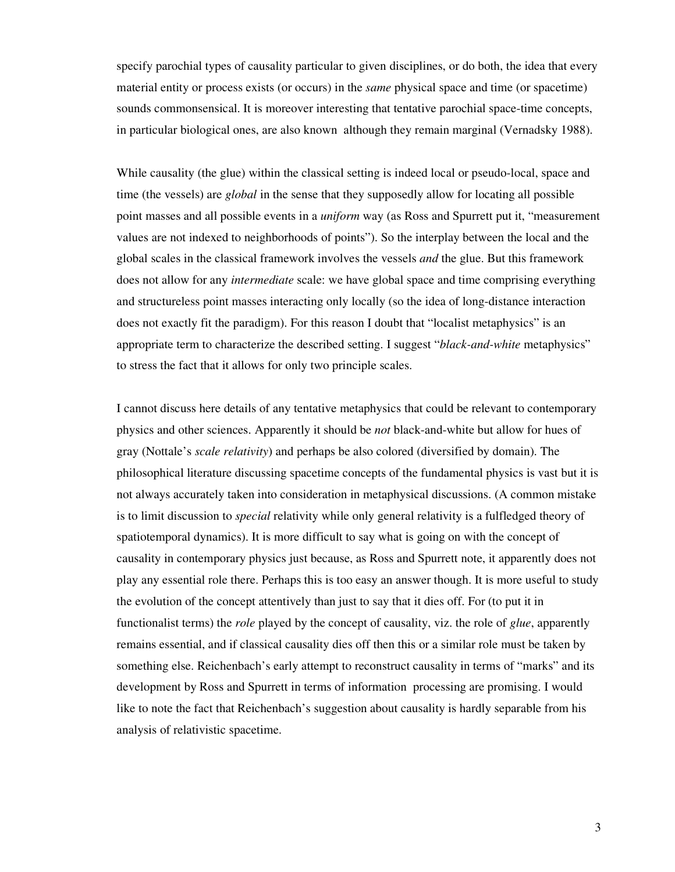specify parochial types of causality particular to given disciplines, or do both, the idea that every material entity or process exists (or occurs) in the *same* physical space and time (or spacetime) sounds commonsensical. It is moreover interesting that tentative parochial space-time concepts, in particular biological ones, are also known although they remain marginal (Vernadsky 1988).

While causality (the glue) within the classical setting is indeed local or pseudo-local, space and time (the vessels) are *global* in the sense that they supposedly allow for locating all possible point masses and all possible events in a *uniform* way (as Ross and Spurrett put it, "measurement values are not indexed to neighborhoods of points"). So the interplay between the local and the global scales in the classical framework involves the vessels *and* the glue. But this framework does not allow for any *intermediate* scale: we have global space and time comprising everything and structureless point masses interacting only locally (so the idea of long-distance interaction does not exactly fit the paradigm). For this reason I doubt that "localist metaphysics" is an appropriate term to characterize the described setting. I suggest "*black-and-white* metaphysics" to stress the fact that it allows for only two principle scales.

I cannot discuss here details of any tentative metaphysics that could be relevant to contemporary physics and other sciences. Apparently it should be *not* black-and-white but allow for hues of gray (Nottale's *scale relativity*) and perhaps be also colored (diversified by domain). The philosophical literature discussing spacetime concepts of the fundamental physics is vast but it is not always accurately taken into consideration in metaphysical discussions. (A common mistake is to limit discussion to *special* relativity while only general relativity is a fulfledged theory of spatiotemporal dynamics). It is more difficult to say what is going on with the concept of causality in contemporary physics just because, as Ross and Spurrett note, it apparently does not play any essential role there. Perhaps this is too easy an answer though. It is more useful to study the evolution of the concept attentively than just to say that it dies off. For (to put it in functionalist terms) the *role* played by the concept of causality, viz. the role of *glue*, apparently remains essential, and if classical causality dies off then this or a similar role must be taken by something else. Reichenbach's early attempt to reconstruct causality in terms of "marks" and its development by Ross and Spurrett in terms of information processing are promising. I would like to note the fact that Reichenbach's suggestion about causality is hardly separable from his analysis of relativistic spacetime.